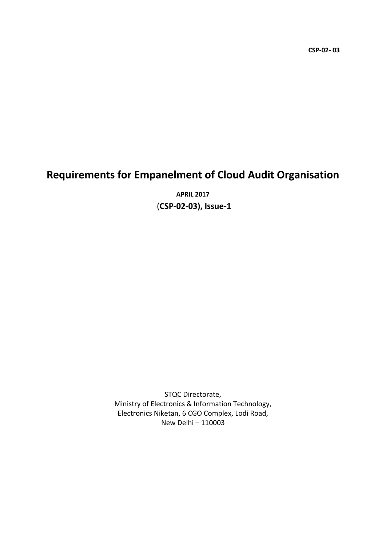# Requirements for Empanelment of Cloud Audit Organisation

APRIL 2017 (CSP-02-03), Issue-1

STQC Directorate, Ministry of Electronics & Information Technology, Electronics Niketan, 6 CGO Complex, Lodi Road, New Delhi – 110003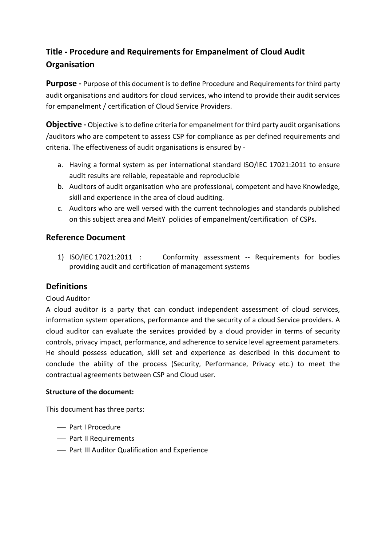# Title - Procedure and Requirements for Empanelment of Cloud Audit **Organisation**

Purpose - Purpose of this document is to define Procedure and Requirements for third party audit organisations and auditors for cloud services, who intend to provide their audit services for empanelment / certification of Cloud Service Providers.

Objective - Objective is to define criteria for empanelment for third party audit organisations /auditors who are competent to assess CSP for compliance as per defined requirements and criteria. The effectiveness of audit organisations is ensured by -

- a. Having a formal system as per international standard ISO/IEC 17021:2011 to ensure audit results are reliable, repeatable and reproducible
- b. Auditors of audit organisation who are professional, competent and have Knowledge, skill and experience in the area of cloud auditing.
- c. Auditors who are well versed with the current technologies and standards published on this subject area and MeitY policies of empanelment/certification of CSPs.

## Reference Document

1) ISO/IEC 17021:2011 : Conformity assessment -- Requirements for bodies providing audit and certification of management systems

## **Definitions**

#### Cloud Auditor

A cloud auditor is a party that can conduct independent assessment of cloud services, information system operations, performance and the security of a cloud Service providers. A cloud auditor can evaluate the services provided by a cloud provider in terms of security controls, privacy impact, performance, and adherence to service level agreement parameters. He should possess education, skill set and experience as described in this document to conclude the ability of the process (Security, Performance, Privacy etc.) to meet the contractual agreements between CSP and Cloud user.

#### Structure of the document:

This document has three parts:

- Part I Procedure
- Part II Requirements
- Part III Auditor Qualification and Experience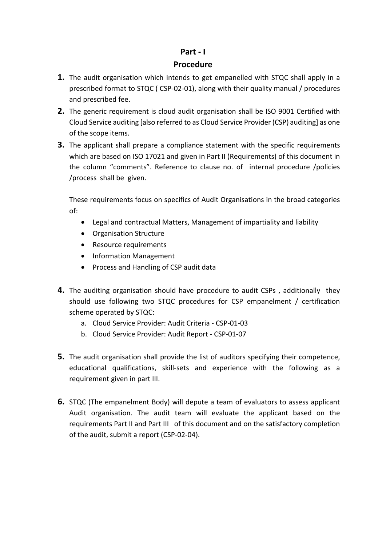#### Part - I

#### Procedure

- **1.** The audit organisation which intends to get empanelled with STQC shall apply in a prescribed format to STQC ( CSP-02-01), along with their quality manual / procedures and prescribed fee.
- **2.** The generic requirement is cloud audit organisation shall be ISO 9001 Certified with Cloud Service auditing [also referred to as Cloud Service Provider (CSP) auditing] as one of the scope items.
- **3.** The applicant shall prepare a compliance statement with the specific requirements which are based on ISO 17021 and given in Part II (Requirements) of this document in the column "comments". Reference to clause no. of internal procedure /policies /process shall be given.

These requirements focus on specifics of Audit Organisations in the broad categories of:

- Legal and contractual Matters, Management of impartiality and liability
- Organisation Structure
- Resource requirements
- Information Management
- Process and Handling of CSP audit data
- **4.** The auditing organisation should have procedure to audit CSPs, additionally they should use following two STQC procedures for CSP empanelment / certification scheme operated by STQC:
	- a. Cloud Service Provider: Audit Criteria CSP-01-03
	- b. Cloud Service Provider: Audit Report CSP-01-07
- **5.** The audit organisation shall provide the list of auditors specifying their competence, educational qualifications, skill-sets and experience with the following as a requirement given in part III.
- 6. STQC (The empanelment Body) will depute a team of evaluators to assess applicant Audit organisation. The audit team will evaluate the applicant based on the requirements Part II and Part III of this document and on the satisfactory completion of the audit, submit a report (CSP-02-04).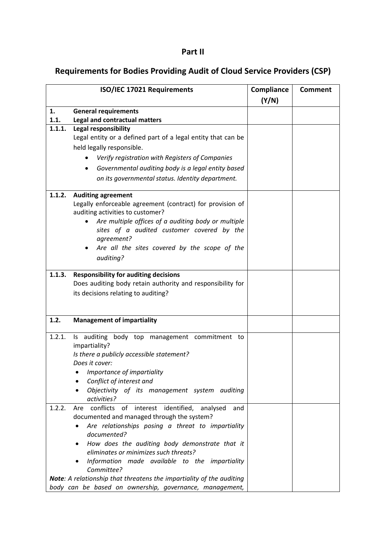### Part II

# Requirements for Bodies Providing Audit of Cloud Service Providers (CSP)

|        | ISO/IEC 17021 Requirements                                                  | Compliance<br>(Y/N) | <b>Comment</b> |
|--------|-----------------------------------------------------------------------------|---------------------|----------------|
| 1.     | <b>General requirements</b>                                                 |                     |                |
| 1.1.   | Legal and contractual matters                                               |                     |                |
| 1.1.1. | <b>Legal responsibility</b>                                                 |                     |                |
|        | Legal entity or a defined part of a legal entity that can be                |                     |                |
|        | held legally responsible.                                                   |                     |                |
|        | Verify registration with Registers of Companies                             |                     |                |
|        | Governmental auditing body is a legal entity based                          |                     |                |
|        | on its governmental status. Identity department.                            |                     |                |
|        |                                                                             |                     |                |
| 1.1.2. | <b>Auditing agreement</b>                                                   |                     |                |
|        | Legally enforceable agreement (contract) for provision of                   |                     |                |
|        | auditing activities to customer?                                            |                     |                |
|        | Are multiple offices of a auditing body or multiple                         |                     |                |
|        | sites of a audited customer covered by the                                  |                     |                |
|        | agreement?                                                                  |                     |                |
|        | Are all the sites covered by the scope of the                               |                     |                |
|        | auditing?                                                                   |                     |                |
|        |                                                                             |                     |                |
| 1.1.3. | <b>Responsibility for auditing decisions</b>                                |                     |                |
|        | Does auditing body retain authority and responsibility for                  |                     |                |
|        | its decisions relating to auditing?                                         |                     |                |
|        |                                                                             |                     |                |
| 1.2.   | <b>Management of impartiality</b>                                           |                     |                |
|        |                                                                             |                     |                |
| 1.2.1. | Is auditing body top management commitment<br>to                            |                     |                |
|        | impartiality?                                                               |                     |                |
|        | Is there a publicly accessible statement?                                   |                     |                |
|        | Does it cover:                                                              |                     |                |
|        | • Importance of impartiality                                                |                     |                |
|        | Conflict of interest and                                                    |                     |                |
|        | Objectivity of its management system auditing                               |                     |                |
|        | activities?                                                                 |                     |                |
| 1.2.2. | Are conflicts of interest identified, analysed<br>and                       |                     |                |
|        | documented and managed through the system?                                  |                     |                |
|        | Are relationships posing a threat to impartiality<br>٠<br>documented?       |                     |                |
|        | How does the auditing body demonstrate that it                              |                     |                |
|        | eliminates or minimizes such threats?                                       |                     |                |
|        | Information made available to the impartiality                              |                     |                |
|        | Committee?                                                                  |                     |                |
|        | <b>Note:</b> A relationship that threatens the impartiality of the auditing |                     |                |
|        | body can be based on ownership, governance, management,                     |                     |                |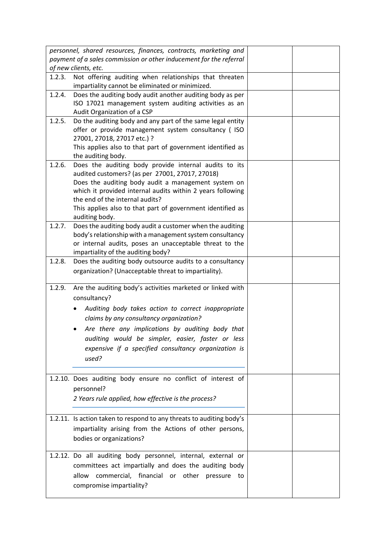|        | personnel, shared resources, finances, contracts, marketing and                               |  |
|--------|-----------------------------------------------------------------------------------------------|--|
|        | payment of a sales commission or other inducement for the referral<br>of new clients, etc.    |  |
| 1.2.3. | Not offering auditing when relationships that threaten                                        |  |
|        | impartiality cannot be eliminated or minimized.                                               |  |
| 1.2.4. | Does the auditing body audit another auditing body as per                                     |  |
|        | ISO 17021 management system auditing activities as an                                         |  |
|        | Audit Organization of a CSP                                                                   |  |
| 1.2.5. | Do the auditing body and any part of the same legal entity                                    |  |
|        | offer or provide management system consultancy ( ISO<br>27001, 27018, 27017 etc.) ?           |  |
|        | This applies also to that part of government identified as                                    |  |
|        | the auditing body.                                                                            |  |
| 1.2.6. | Does the auditing body provide internal audits to its                                         |  |
|        | audited customers? (as per 27001, 27017, 27018)                                               |  |
|        | Does the auditing body audit a management system on                                           |  |
|        | which it provided internal audits within 2 years following<br>the end of the internal audits? |  |
|        | This applies also to that part of government identified as                                    |  |
|        | auditing body.                                                                                |  |
| 1.2.7. | Does the auditing body audit a customer when the auditing                                     |  |
|        | body's relationship with a management system consultancy                                      |  |
|        | or internal audits, poses an unacceptable threat to the                                       |  |
|        | impartiality of the auditing body?                                                            |  |
| 1.2.8. | Does the auditing body outsource audits to a consultancy                                      |  |
|        | organization? (Unacceptable threat to impartiality).                                          |  |
| 1.2.9. | Are the auditing body's activities marketed or linked with                                    |  |
|        | consultancy?                                                                                  |  |
|        | Auditing body takes action to correct inappropriate                                           |  |
|        | claims by any consultancy organization?                                                       |  |
|        |                                                                                               |  |
|        | Are there any implications by auditing body that                                              |  |
|        | auditing would be simpler, easier, faster or less                                             |  |
|        | expensive if a specified consultancy organization is                                          |  |
|        | used?                                                                                         |  |
|        | 1.2.10. Does auditing body ensure no conflict of interest of                                  |  |
|        |                                                                                               |  |
|        | personnel?                                                                                    |  |
|        | 2 Years rule applied, how effective is the process?                                           |  |
|        | 1.2.11. Is action taken to respond to any threats to auditing body's                          |  |
|        | impartiality arising from the Actions of other persons,                                       |  |
|        | bodies or organizations?                                                                      |  |
|        |                                                                                               |  |
|        | 1.2.12. Do all auditing body personnel, internal, external or                                 |  |
|        | committees act impartially and does the auditing body                                         |  |
|        | commercial, financial or other pressure to<br>allow                                           |  |
|        | compromise impartiality?                                                                      |  |
|        |                                                                                               |  |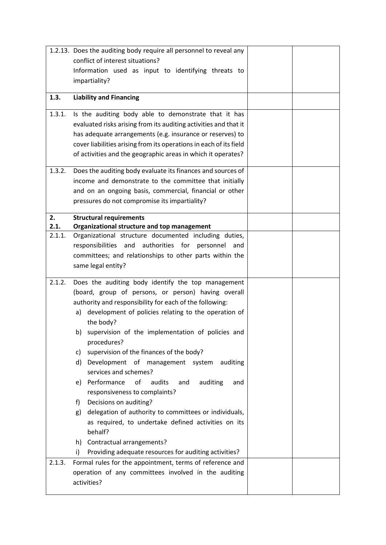|        | 1.2.13. Does the auditing body require all personnel to reveal any            |  |
|--------|-------------------------------------------------------------------------------|--|
|        | conflict of interest situations?                                              |  |
|        | Information used as input to identifying threats to                           |  |
|        | impartiality?                                                                 |  |
| 1.3.   | <b>Liability and Financing</b>                                                |  |
|        |                                                                               |  |
| 1.3.1. | Is the auditing body able to demonstrate that it has                          |  |
|        | evaluated risks arising from its auditing activities and that it              |  |
|        | has adequate arrangements (e.g. insurance or reserves) to                     |  |
|        | cover liabilities arising from its operations in each of its field            |  |
|        | of activities and the geographic areas in which it operates?                  |  |
| 1.3.2. | Does the auditing body evaluate its finances and sources of                   |  |
|        | income and demonstrate to the committee that initially                        |  |
|        | and on an ongoing basis, commercial, financial or other                       |  |
|        | pressures do not compromise its impartiality?                                 |  |
| 2.     | <b>Structural requirements</b>                                                |  |
| 2.1.   | Organizational structure and top management                                   |  |
| 2.1.1. | Organizational structure documented including duties,                         |  |
|        | authorities for personnel<br>responsibilities and<br>and                      |  |
|        | committees; and relationships to other parts within the<br>same legal entity? |  |
|        |                                                                               |  |
| 2.1.2. | Does the auditing body identify the top management                            |  |
|        | (board, group of persons, or person) having overall                           |  |
|        |                                                                               |  |
|        | authority and responsibility for each of the following:                       |  |
|        | a) development of policies relating to the operation of                       |  |
|        | the body?                                                                     |  |
|        | supervision of the implementation of policies and<br>b)                       |  |
|        | procedures?                                                                   |  |
|        | supervision of the finances of the body?<br>C)                                |  |
|        | d)<br>Development of management system<br>auditing                            |  |
|        | services and schemes?                                                         |  |
|        | e) Performance<br>of<br>audits<br>and<br>auditing<br>and                      |  |
|        | responsiveness to complaints?                                                 |  |
|        | Decisions on auditing?<br>f)                                                  |  |
|        | delegation of authority to committees or individuals,<br>g)                   |  |
|        | as required, to undertake defined activities on its                           |  |
|        | behalf?                                                                       |  |
|        | h) Contractual arrangements?                                                  |  |
| 2.1.3. | Providing adequate resources for auditing activities?<br>i)                   |  |
|        | Formal rules for the appointment, terms of reference and                      |  |
|        | operation of any committees involved in the auditing<br>activities?           |  |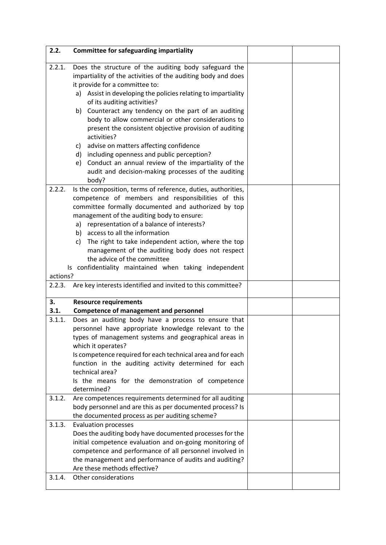| 2.2.             | <b>Committee for safeguarding impartiality</b>                                                                                                                                                                                                                                                                                                                                                                                                                                                                          |  |
|------------------|-------------------------------------------------------------------------------------------------------------------------------------------------------------------------------------------------------------------------------------------------------------------------------------------------------------------------------------------------------------------------------------------------------------------------------------------------------------------------------------------------------------------------|--|
| 2.2.1.           | Does the structure of the auditing body safeguard the<br>impartiality of the activities of the auditing body and does<br>it provide for a committee to:<br>Assist in developing the policies relating to impartiality<br>a)<br>of its auditing activities?<br>Counteract any tendency on the part of an auditing<br>b)<br>body to allow commercial or other considerations to<br>present the consistent objective provision of auditing<br>activities?                                                                  |  |
|                  | advise on matters affecting confidence<br>C)                                                                                                                                                                                                                                                                                                                                                                                                                                                                            |  |
|                  | d) including openness and public perception?<br>Conduct an annual review of the impartiality of the<br>e)<br>audit and decision-making processes of the auditing<br>body?                                                                                                                                                                                                                                                                                                                                               |  |
| 2.2.2.           | Is the composition, terms of reference, duties, authorities,<br>competence of members and responsibilities of this<br>committee formally documented and authorized by top<br>management of the auditing body to ensure:<br>representation of a balance of interests?<br>a)<br>b) access to all the information<br>The right to take independent action, where the top<br>c)<br>management of the auditing body does not respect<br>the advice of the committee<br>Is confidentiality maintained when taking independent |  |
| actions?         |                                                                                                                                                                                                                                                                                                                                                                                                                                                                                                                         |  |
| 2.2.3.           | Are key interests identified and invited to this committee?                                                                                                                                                                                                                                                                                                                                                                                                                                                             |  |
| 3.<br>3.1.       | <b>Resource requirements</b><br><b>Competence of management and personnel</b>                                                                                                                                                                                                                                                                                                                                                                                                                                           |  |
| 3.1.1.           | Does an auditing body have a process to ensure that<br>personnel have appropriate knowledge relevant to the<br>types of management systems and geographical areas in<br>which it operates?<br>Is competence required for each technical area and for each<br>function in the auditing activity determined for each<br>technical area?<br>Is the means for the demonstration of competence<br>determined?                                                                                                                |  |
| 3.1.2.           | Are competences requirements determined for all auditing<br>body personnel and are this as per documented process? Is<br>the documented process as per auditing scheme?                                                                                                                                                                                                                                                                                                                                                 |  |
| 3.1.3.<br>3.1.4. | <b>Evaluation processes</b><br>Does the auditing body have documented processes for the<br>initial competence evaluation and on-going monitoring of<br>competence and performance of all personnel involved in<br>the management and performance of audits and auditing?<br>Are these methods effective?<br>Other considerations                                                                                                                                                                                        |  |
|                  |                                                                                                                                                                                                                                                                                                                                                                                                                                                                                                                         |  |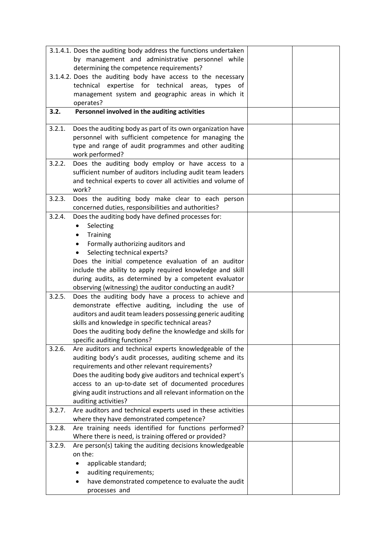|        | 3.1.4.1. Does the auditing body address the functions undertaken |  |
|--------|------------------------------------------------------------------|--|
|        | by management and administrative personnel while                 |  |
|        | determining the competence requirements?                         |  |
|        | 3.1.4.2. Does the auditing body have access to the necessary     |  |
|        | expertise for technical<br>technical<br>areas,<br>types<br>οf    |  |
|        | management system and geographic areas in which it               |  |
|        | operates?                                                        |  |
| 3.2.   | Personnel involved in the auditing activities                    |  |
|        |                                                                  |  |
| 3.2.1. | Does the auditing body as part of its own organization have      |  |
|        | personnel with sufficient competence for managing the            |  |
|        | type and range of audit programmes and other auditing            |  |
|        | work performed?                                                  |  |
| 3.2.2. | Does the auditing body employ or have access to a                |  |
|        | sufficient number of auditors including audit team leaders       |  |
|        | and technical experts to cover all activities and volume of      |  |
|        | work?                                                            |  |
| 3.2.3. | Does the auditing body make clear to each person                 |  |
|        | concerned duties, responsibilities and authorities?              |  |
| 3.2.4. | Does the auditing body have defined processes for:               |  |
|        | Selecting                                                        |  |
|        | Training<br>٠                                                    |  |
|        | Formally authorizing auditors and                                |  |
|        | Selecting technical experts?                                     |  |
|        | Does the initial competence evaluation of an auditor             |  |
|        | include the ability to apply required knowledge and skill        |  |
|        | during audits, as determined by a competent evaluator            |  |
|        | observing (witnessing) the auditor conducting an audit?          |  |
| 3.2.5. | Does the auditing body have a process to achieve and             |  |
|        | demonstrate effective auditing, including the use of             |  |
|        | auditors and audit team leaders possessing generic auditing      |  |
|        | skills and knowledge in specific technical areas?                |  |
|        | Does the auditing body define the knowledge and skills for       |  |
|        | specific auditing functions?                                     |  |
| 3.2.6. | Are auditors and technical experts knowledgeable of the          |  |
|        | auditing body's audit processes, auditing scheme and its         |  |
|        | requirements and other relevant requirements?                    |  |
|        | Does the auditing body give auditors and technical expert's      |  |
|        | access to an up-to-date set of documented procedures             |  |
|        | giving audit instructions and all relevant information on the    |  |
|        | auditing activities?                                             |  |
| 3.2.7. | Are auditors and technical experts used in these activities      |  |
|        | where they have demonstrated competence?                         |  |
| 3.2.8. | Are training needs identified for functions performed?           |  |
|        | Where there is need, is training offered or provided?            |  |
| 3.2.9. | Are person(s) taking the auditing decisions knowledgeable        |  |
|        | on the:                                                          |  |
|        | applicable standard;                                             |  |
|        | auditing requirements;                                           |  |
|        | have demonstrated competence to evaluate the audit               |  |
|        | processes and                                                    |  |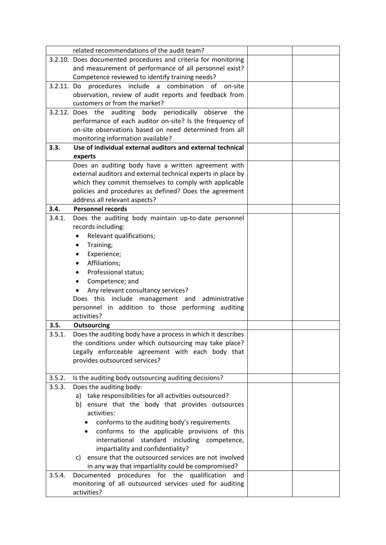|            | related recommendations of the audit team?                     |  |
|------------|----------------------------------------------------------------|--|
|            | 3.2.10. Does documented procedures and criteria for monitoring |  |
|            | and measurement of performance of all personnel exist?         |  |
|            | Competence reviewed to identify training needs?                |  |
| 3.2.11. Do | include a combination of<br>procedures<br>on-site              |  |
|            | observation, review of audit reports and feedback from         |  |
|            | customers or from the market?                                  |  |
|            | 3.2.12. Does the auditing body periodically observe the        |  |
|            | performance of each auditor on-site? Is the frequency of       |  |
|            | on-site observations based on need determined from all         |  |
|            | monitoring information available?                              |  |
| 3.3.       | Use of individual external auditors and external technical     |  |
|            | experts                                                        |  |
|            | Does an auditing body have a written agreement with            |  |
|            | external auditors and external technical experts in place by   |  |
|            | which they commit themselves to comply with applicable         |  |
|            | policies and procedures as defined? Does the agreement         |  |
|            | address all relevant aspects?                                  |  |
| 3.4.       | <b>Personnel records</b>                                       |  |
| 3.4.1.     | Does the auditing body maintain up-to-date personnel           |  |
|            | records including:                                             |  |
|            | Relevant qualifications;<br>٠                                  |  |
|            | Training;<br>٠                                                 |  |
|            | Experience;<br>٠                                               |  |
|            | Affiliations;<br>$\bullet$                                     |  |
|            | Professional status;<br>٠                                      |  |
|            | Competence; and<br>٠                                           |  |
|            | Any relevant consultancy services?                             |  |
|            | Does this include management and administrative                |  |
|            | personnel in addition to those performing auditing             |  |
|            | activities?                                                    |  |
| 3.5.       | <b>Outsourcing</b>                                             |  |
| 3.5.1      | Does the auditing body have a process in which it describes    |  |
|            | the conditions under which outsourcing may take place?         |  |
|            | Legally enforceable agreement with each body that              |  |
|            | provides outsourced services?                                  |  |
|            |                                                                |  |
| 3.5.2.     | Is the auditing body outsourcing auditing decisions?           |  |
| 3.5.3.     | Does the auditing body:                                        |  |
|            | a) take responsibilities for all activities outsourced?        |  |
|            | b) ensure that the body that provides outsources               |  |
|            | activities:                                                    |  |
|            | conforms to the auditing body's requirements                   |  |
|            | conforms to the applicable provisions of this<br>٠             |  |
|            | international<br>standard including competence,                |  |
|            | impartiality and confidentiality?                              |  |
|            | ensure that the outsourced services are not involved<br>C)     |  |
|            | in any way that impartiality could be compromised?             |  |
| 3.5.4.     | procedures for the qualification<br>Documented<br>and          |  |
|            | monitoring of all outsourced services used for auditing        |  |
|            | activities?                                                    |  |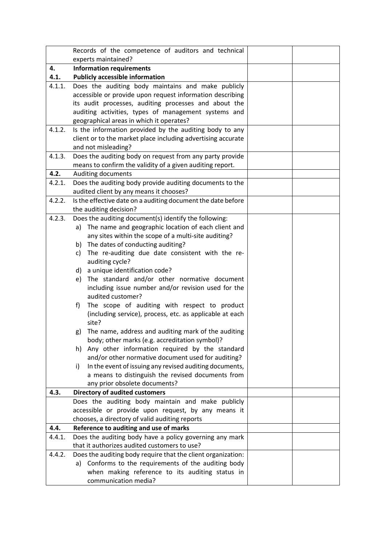|        | Records of the competence of auditors and technical                                              |  |
|--------|--------------------------------------------------------------------------------------------------|--|
|        | experts maintained?                                                                              |  |
| 4.     | <b>Information requirements</b>                                                                  |  |
| 4.1.   | <b>Publicly accessible information</b>                                                           |  |
| 4.1.1. | Does the auditing body maintains and make publicly                                               |  |
|        | accessible or provide upon request information describing                                        |  |
|        | its audit processes, auditing processes and about the                                            |  |
|        | auditing activities, types of management systems and                                             |  |
|        | geographical areas in which it operates?                                                         |  |
| 4.1.2. | Is the information provided by the auditing body to any                                          |  |
|        | client or to the market place including advertising accurate                                     |  |
| 4.1.3. | and not misleading?<br>Does the auditing body on request from any party provide                  |  |
|        | means to confirm the validity of a given auditing report.                                        |  |
| 4.2.   | Auditing documents                                                                               |  |
| 4.2.1. | Does the auditing body provide auditing documents to the                                         |  |
|        | audited client by any means it chooses?                                                          |  |
| 4.2.2. | Is the effective date on a auditing document the date before                                     |  |
|        | the auditing decision?                                                                           |  |
| 4.2.3. | Does the auditing document(s) identify the following:                                            |  |
|        | a) The name and geographic location of each client and                                           |  |
|        | any sites within the scope of a multi-site auditing?                                             |  |
|        | The dates of conducting auditing?<br>b)                                                          |  |
|        | The re-auditing due date consistent with the re-<br>c)                                           |  |
|        | auditing cycle?                                                                                  |  |
|        | d) a unique identification code?                                                                 |  |
|        | The standard and/or other normative document<br>e)                                               |  |
|        | including issue number and/or revision used for the                                              |  |
|        | audited customer?                                                                                |  |
|        | The scope of auditing with respect to product<br>f)                                              |  |
|        | (including service), process, etc. as applicable at each                                         |  |
|        | site?                                                                                            |  |
|        | The name, address and auditing mark of the auditing<br>g)                                        |  |
|        | body; other marks (e.g. accreditation symbol)?<br>Any other information required by the standard |  |
|        | h)<br>and/or other normative document used for auditing?                                         |  |
|        | In the event of issuing any revised auditing documents,<br>i)                                    |  |
|        | a means to distinguish the revised documents from                                                |  |
|        | any prior obsolete documents?                                                                    |  |
| 4.3.   | <b>Directory of audited customers</b>                                                            |  |
|        | Does the auditing body maintain and make publicly                                                |  |
|        | accessible or provide upon request, by any means it                                              |  |
|        | chooses, a directory of valid auditing reports                                                   |  |
| 4.4.   | Reference to auditing and use of marks                                                           |  |
| 4.4.1. | Does the auditing body have a policy governing any mark                                          |  |
|        | that it authorizes audited customers to use?                                                     |  |
| 4.4.2. | Does the auditing body require that the client organization:                                     |  |
|        | a) Conforms to the requirements of the auditing body                                             |  |
|        | when making reference to its auditing status in                                                  |  |
|        | communication media?                                                                             |  |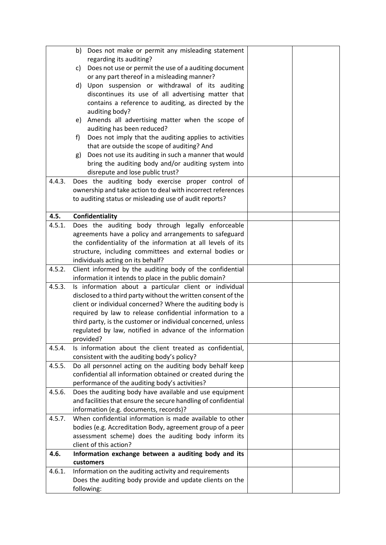|        | Does not make or permit any misleading statement<br>b)                                                     |  |
|--------|------------------------------------------------------------------------------------------------------------|--|
|        | regarding its auditing?                                                                                    |  |
|        | Does not use or permit the use of a auditing document<br>C)<br>or any part thereof in a misleading manner? |  |
|        | d) Upon suspension or withdrawal of its auditing                                                           |  |
|        | discontinues its use of all advertising matter that                                                        |  |
|        | contains a reference to auditing, as directed by the                                                       |  |
|        | auditing body?                                                                                             |  |
|        | Amends all advertising matter when the scope of<br>e)                                                      |  |
|        | auditing has been reduced?                                                                                 |  |
|        | Does not imply that the auditing applies to activities<br>f)                                               |  |
|        | that are outside the scope of auditing? And                                                                |  |
|        | Does not use its auditing in such a manner that would<br>g)                                                |  |
|        | bring the auditing body and/or auditing system into                                                        |  |
|        | disrepute and lose public trust?                                                                           |  |
| 4.4.3. | Does the auditing body exercise proper control of                                                          |  |
|        | ownership and take action to deal with incorrect references                                                |  |
|        | to auditing status or misleading use of audit reports?                                                     |  |
| 4.5.   | Confidentiality                                                                                            |  |
| 4.5.1. | Does the auditing body through legally enforceable                                                         |  |
|        | agreements have a policy and arrangements to safeguard                                                     |  |
|        | the confidentiality of the information at all levels of its                                                |  |
|        | structure, including committees and external bodies or                                                     |  |
|        | individuals acting on its behalf?                                                                          |  |
| 4.5.2. | Client informed by the auditing body of the confidential                                                   |  |
|        | information it intends to place in the public domain?                                                      |  |
| 4.5.3. | Is information about a particular client or individual                                                     |  |
|        | disclosed to a third party without the written consent of the                                              |  |
|        | client or individual concerned? Where the auditing body is                                                 |  |
|        | required by law to release confidential information to a                                                   |  |
|        | third party, is the customer or individual concerned, unless                                               |  |
|        | regulated by law, notified in advance of the information                                                   |  |
|        | provided?                                                                                                  |  |
| 4.5.4. | Is information about the client treated as confidential,                                                   |  |
|        | consistent with the auditing body's policy?                                                                |  |
| 4.5.5. | Do all personnel acting on the auditing body behalf keep                                                   |  |
|        | confidential all information obtained or created during the                                                |  |
|        | performance of the auditing body's activities?                                                             |  |
| 4.5.6. | Does the auditing body have available and use equipment                                                    |  |
|        | and facilities that ensure the secure handling of confidential<br>information (e.g. documents, records)?   |  |
| 4.5.7. | When confidential information is made available to other                                                   |  |
|        | bodies (e.g. Accreditation Body, agreement group of a peer                                                 |  |
|        | assessment scheme) does the auditing body inform its                                                       |  |
|        | client of this action?                                                                                     |  |
| 4.6.   | Information exchange between a auditing body and its                                                       |  |
|        | customers                                                                                                  |  |
| 4.6.1. | Information on the auditing activity and requirements                                                      |  |
|        | Does the auditing body provide and update clients on the                                                   |  |
|        | following:                                                                                                 |  |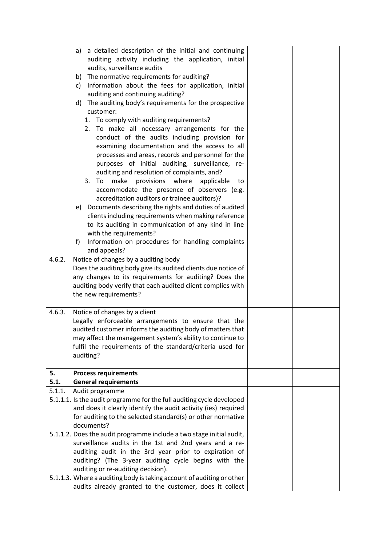|        | a detailed description of the initial and continuing<br>a)                                                              |  |
|--------|-------------------------------------------------------------------------------------------------------------------------|--|
|        | auditing activity including the application, initial<br>audits, surveillance audits                                     |  |
|        | The normative requirements for auditing?<br>b)                                                                          |  |
|        | Information about the fees for application, initial<br>c)                                                               |  |
|        | auditing and continuing auditing?                                                                                       |  |
|        | The auditing body's requirements for the prospective<br>d)                                                              |  |
|        | customer:                                                                                                               |  |
|        | To comply with auditing requirements?<br>1.                                                                             |  |
|        | 2. To make all necessary arrangements for the                                                                           |  |
|        | conduct of the audits including provision for                                                                           |  |
|        | examining documentation and the access to all                                                                           |  |
|        | processes and areas, records and personnel for the                                                                      |  |
|        | purposes of initial auditing, surveillance, re-                                                                         |  |
|        | auditing and resolution of complaints, and?<br>make provisions where applicable<br>3.<br>To<br>to                       |  |
|        | accommodate the presence of observers (e.g.                                                                             |  |
|        | accreditation auditors or trainee auditors)?                                                                            |  |
|        | e) Documents describing the rights and duties of audited                                                                |  |
|        | clients including requirements when making reference                                                                    |  |
|        | to its auditing in communication of any kind in line                                                                    |  |
|        | with the requirements?                                                                                                  |  |
|        | Information on procedures for handling complaints<br>f)                                                                 |  |
|        | and appeals?                                                                                                            |  |
| 4.6.2. | Notice of changes by a auditing body                                                                                    |  |
|        | Does the auditing body give its audited clients due notice of<br>any changes to its requirements for auditing? Does the |  |
|        | auditing body verify that each audited client complies with                                                             |  |
|        | the new requirements?                                                                                                   |  |
|        |                                                                                                                         |  |
| 4.6.3. | Notice of changes by a client                                                                                           |  |
|        | Legally enforceable arrangements to ensure that the                                                                     |  |
|        | audited customer informs the auditing body of matters that                                                              |  |
|        | may affect the management system's ability to continue to<br>fulfil the requirements of the standard/criteria used for  |  |
|        | auditing?                                                                                                               |  |
|        |                                                                                                                         |  |
| 5.     | <b>Process requirements</b>                                                                                             |  |
| 5.1.   | <b>General requirements</b>                                                                                             |  |
| 5.1.1. | Audit programme<br>5.1.1.1. Is the audit programme for the full auditing cycle developed                                |  |
|        | and does it clearly identify the audit activity (ies) required                                                          |  |
|        | for auditing to the selected standard(s) or other normative                                                             |  |
|        | documents?                                                                                                              |  |
|        | 5.1.1.2. Does the audit programme include a two stage initial audit,                                                    |  |
|        | surveillance audits in the 1st and 2nd years and a re-                                                                  |  |
|        | auditing audit in the 3rd year prior to expiration of                                                                   |  |
|        | auditing? (The 3-year auditing cycle begins with the                                                                    |  |
|        | auditing or re-auditing decision).                                                                                      |  |
|        | 5.1.1.3. Where a auditing body is taking account of auditing or other                                                   |  |
|        | audits already granted to the customer, does it collect                                                                 |  |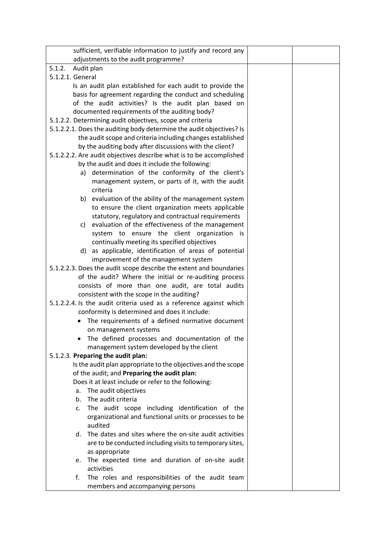| sufficient, verifiable information to justify and record any         |  |
|----------------------------------------------------------------------|--|
| adjustments to the audit programme?                                  |  |
| 5.1.2.<br>Audit plan                                                 |  |
| 5.1.2.1. General                                                     |  |
| Is an audit plan established for each audit to provide the           |  |
| basis for agreement regarding the conduct and scheduling             |  |
| of the audit activities? Is the audit plan based on                  |  |
| documented requirements of the auditing body?                        |  |
| 5.1.2.2. Determining audit objectives, scope and criteria            |  |
| 5.1.2.2.1. Does the auditing body determine the audit objectives? Is |  |
| the audit scope and criteria including changes established           |  |
| by the auditing body after discussions with the client?              |  |
| 5.1.2.2.2. Are audit objectives describe what is to be accomplished  |  |
| by the audit and does it include the following:                      |  |
| a) determination of the conformity of the client's                   |  |
| management system, or parts of it, with the audit                    |  |
| criteria                                                             |  |
| b) evaluation of the ability of the management system                |  |
| to ensure the client organization meets applicable                   |  |
| statutory, regulatory and contractual requirements                   |  |
| c) evaluation of the effectiveness of the management                 |  |
| system to ensure the client organization is                          |  |
| continually meeting its specified objectives                         |  |
| d) as applicable, identification of areas of potential               |  |
| improvement of the management system                                 |  |
| 5.1.2.2.3. Does the audit scope describe the extent and boundaries   |  |
| of the audit? Where the initial or re-auditing process               |  |
| consists of more than one audit, are total audits                    |  |
| consistent with the scope in the auditing?                           |  |
| 5.1.2.2.4. Is the audit criteria used as a reference against which   |  |
| conformity is determined and does it include:                        |  |
| The requirements of a defined normative document                     |  |
| on management systems                                                |  |
| The defined processes and documentation of the                       |  |
| management system developed by the client                            |  |
| 5.1.2.3. Preparing the audit plan:                                   |  |
| Is the audit plan appropriate to the objectives and the scope        |  |
| of the audit; and Preparing the audit plan:                          |  |
| Does it at least include or refer to the following:                  |  |
| The audit objectives<br>a.<br>The audit criteria<br>b <sub>1</sub>   |  |
|                                                                      |  |
| The audit scope including identification of the<br>c.                |  |
| organizational and functional units or processes to be<br>audited    |  |
| The dates and sites where the on-site audit activities<br>d.         |  |
| are to be conducted including visits to temporary sites,             |  |
| as appropriate                                                       |  |
| e. The expected time and duration of on-site audit                   |  |
| activities                                                           |  |
| f.<br>The roles and responsibilities of the audit team               |  |
| members and accompanying persons                                     |  |
|                                                                      |  |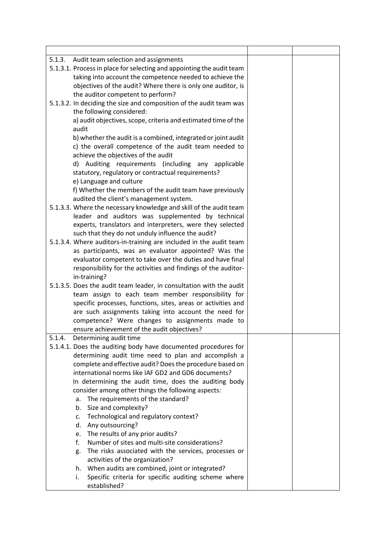| 5.1.3. Audit team selection and assignments                           |  |
|-----------------------------------------------------------------------|--|
| 5.1.3.1. Process in place for selecting and appointing the audit team |  |
| taking into account the competence needed to achieve the              |  |
| objectives of the audit? Where there is only one auditor, is          |  |
| the auditor competent to perform?                                     |  |
| 5.1.3.2. In deciding the size and composition of the audit team was   |  |
| the following considered:                                             |  |
| a) audit objectives, scope, criteria and estimated time of the        |  |
| audit                                                                 |  |
| b) whether the audit is a combined, integrated or joint audit         |  |
| c) the overall competence of the audit team needed to                 |  |
| achieve the objectives of the audit                                   |  |
|                                                                       |  |
| d) Auditing requirements (including any applicable                    |  |
| statutory, regulatory or contractual requirements?                    |  |
| e) Language and culture                                               |  |
| f) Whether the members of the audit team have previously              |  |
| audited the client's management system.                               |  |
| 5.1.3.3. Where the necessary knowledge and skill of the audit team    |  |
| leader and auditors was supplemented by technical                     |  |
| experts, translators and interpreters, were they selected             |  |
| such that they do not unduly influence the audit?                     |  |
| 5.1.3.4. Where auditors-in-training are included in the audit team    |  |
| as participants, was an evaluator appointed? Was the                  |  |
| evaluator competent to take over the duties and have final            |  |
| responsibility for the activities and findings of the auditor-        |  |
| in-training?                                                          |  |
| 5.1.3.5. Does the audit team leader, in consultation with the audit   |  |
| team assign to each team member responsibility for                    |  |
| specific processes, functions, sites, areas or activities and         |  |
| are such assignments taking into account the need for                 |  |
| competence? Were changes to assignments made to                       |  |
| ensure achievement of the audit objectives?                           |  |
| 5.1.4.<br>Determining audit time                                      |  |
| 5.1.4.1. Does the auditing body have documented procedures for        |  |
| determining audit time need to plan and accomplish a                  |  |
| complete and effective audit? Does the procedure based on             |  |
| international norms like IAF GD2 and GD6 documents?                   |  |
| In determining the audit time, does the auditing body                 |  |
| consider among other things the following aspects:                    |  |
| The requirements of the standard?<br>a.                               |  |
| Size and complexity?<br>b.                                            |  |
| Technological and regulatory context?<br>c.                           |  |
| Any outsourcing?<br>d.                                                |  |
| The results of any prior audits?<br>e.                                |  |
| Number of sites and multi-site considerations?<br>f.                  |  |
| The risks associated with the services, processes or<br>g.            |  |
| activities of the organization?                                       |  |
| When audits are combined, joint or integrated?<br>h.                  |  |
| Specific criteria for specific auditing scheme where<br>i.            |  |
| established?                                                          |  |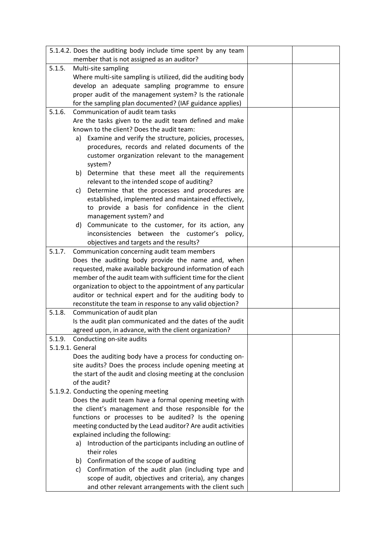|        | 5.1.4.2. Does the auditing body include time spent by any team                                                           |  |
|--------|--------------------------------------------------------------------------------------------------------------------------|--|
|        | member that is not assigned as an auditor?                                                                               |  |
| 5.1.5. | Multi-site sampling                                                                                                      |  |
|        | Where multi-site sampling is utilized, did the auditing body                                                             |  |
|        | develop an adequate sampling programme to ensure                                                                         |  |
|        | proper audit of the management system? Is the rationale                                                                  |  |
|        | for the sampling plan documented? (IAF guidance applies)                                                                 |  |
| 5.1.6. | Communication of audit team tasks                                                                                        |  |
|        | Are the tasks given to the audit team defined and make                                                                   |  |
|        | known to the client? Does the audit team:                                                                                |  |
|        | a) Examine and verify the structure, policies, processes,                                                                |  |
|        | procedures, records and related documents of the                                                                         |  |
|        | customer organization relevant to the management                                                                         |  |
|        | system?                                                                                                                  |  |
|        | Determine that these meet all the requirements<br>b)                                                                     |  |
|        | relevant to the intended scope of auditing?                                                                              |  |
|        | Determine that the processes and procedures are<br>c)                                                                    |  |
|        | established, implemented and maintained effectively,                                                                     |  |
|        | to provide a basis for confidence in the client                                                                          |  |
|        | management system? and                                                                                                   |  |
|        | Communicate to the customer, for its action, any<br>d)                                                                   |  |
|        | inconsistencies between the customer's policy,                                                                           |  |
|        | objectives and targets and the results?                                                                                  |  |
| 5.1.7. | Communication concerning audit team members                                                                              |  |
|        | Does the auditing body provide the name and, when                                                                        |  |
|        | requested, make available background information of each<br>member of the audit team with sufficient time for the client |  |
|        |                                                                                                                          |  |
|        | organization to object to the appointment of any particular<br>auditor or technical expert and for the auditing body to  |  |
|        | reconstitute the team in response to any valid objection?                                                                |  |
| 5.1.8. | Communication of audit plan                                                                                              |  |
|        | Is the audit plan communicated and the dates of the audit                                                                |  |
|        | agreed upon, in advance, with the client organization?                                                                   |  |
| 5.1.9. | Conducting on-site audits                                                                                                |  |
|        | 5.1.9.1. General                                                                                                         |  |
|        | Does the auditing body have a process for conducting on-                                                                 |  |
|        | site audits? Does the process include opening meeting at                                                                 |  |
|        | the start of the audit and closing meeting at the conclusion                                                             |  |
|        | of the audit?                                                                                                            |  |
|        | 5.1.9.2. Conducting the opening meeting                                                                                  |  |
|        | Does the audit team have a formal opening meeting with                                                                   |  |
|        | the client's management and those responsible for the                                                                    |  |
|        | functions or processes to be audited? Is the opening                                                                     |  |
|        | meeting conducted by the Lead auditor? Are audit activities                                                              |  |
|        | explained including the following:                                                                                       |  |
|        | Introduction of the participants including an outline of<br>a)                                                           |  |
|        | their roles                                                                                                              |  |
|        | b) Confirmation of the scope of auditing                                                                                 |  |
|        | Confirmation of the audit plan (including type and<br>c)                                                                 |  |
|        | scope of audit, objectives and criteria), any changes                                                                    |  |
|        | and other relevant arrangements with the client such                                                                     |  |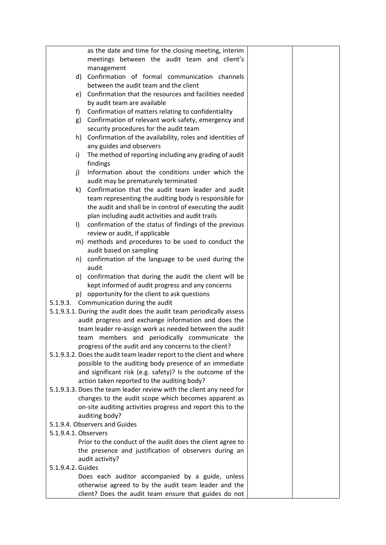|                      | as the date and time for the closing meeting, interim                |  |
|----------------------|----------------------------------------------------------------------|--|
|                      | meetings between the audit team and client's                         |  |
|                      | management                                                           |  |
| d)                   | Confirmation of formal communication channels                        |  |
|                      | between the audit team and the client                                |  |
| e)                   | Confirmation that the resources and facilities needed                |  |
|                      | by audit team are available                                          |  |
| f)                   | Confirmation of matters relating to confidentiality                  |  |
| g)                   | Confirmation of relevant work safety, emergency and                  |  |
|                      | security procedures for the audit team                               |  |
|                      | h) Confirmation of the availability, roles and identities of         |  |
|                      | any guides and observers                                             |  |
| i)                   | The method of reporting including any grading of audit               |  |
|                      | findings                                                             |  |
| j)                   | Information about the conditions under which the                     |  |
|                      | audit may be prematurely terminated                                  |  |
| k)                   | Confirmation that the audit team leader and audit                    |  |
|                      | team representing the auditing body is responsible for               |  |
|                      | the audit and shall be in control of executing the audit             |  |
|                      | plan including audit activities and audit trails                     |  |
| $\vert$              | confirmation of the status of findings of the previous               |  |
|                      | review or audit, if applicable                                       |  |
|                      | m) methods and procedures to be used to conduct the                  |  |
|                      | audit based on sampling                                              |  |
|                      | n) confirmation of the language to be used during the                |  |
|                      | audit                                                                |  |
|                      | o) confirmation that during the audit the client will be             |  |
|                      | kept informed of audit progress and any concerns                     |  |
|                      | p) opportunity for the client to ask questions                       |  |
| 5.1.9.3.             | Communication during the audit                                       |  |
|                      | 5.1.9.3.1. During the audit does the audit team periodically assess  |  |
|                      | audit progress and exchange information and does the                 |  |
|                      | team leader re-assign work as needed between the audit               |  |
|                      | team members and periodically communicate the                        |  |
|                      | progress of the audit and any concerns to the client?                |  |
|                      | 5.1.9.3.2. Does the audit team leader report to the client and where |  |
|                      | possible to the auditing body presence of an immediate               |  |
|                      | and significant risk (e.g. safety)? Is the outcome of the            |  |
|                      | action taken reported to the auditing body?                          |  |
|                      | 5.1.9.3.3. Does the team leader review with the client any need for  |  |
|                      | changes to the audit scope which becomes apparent as                 |  |
|                      | on-site auditing activities progress and report this to the          |  |
|                      | auditing body?                                                       |  |
|                      | 5.1.9.4. Observers and Guides                                        |  |
| 5.1.9.4.1. Observers |                                                                      |  |
|                      | Prior to the conduct of the audit does the client agree to           |  |
|                      | the presence and justification of observers during an                |  |
|                      | audit activity?                                                      |  |
| 5.1.9.4.2. Guides    |                                                                      |  |
|                      | Does each auditor accompanied by a guide, unless                     |  |
|                      | otherwise agreed to by the audit team leader and the                 |  |
|                      | client? Does the audit team ensure that guides do not                |  |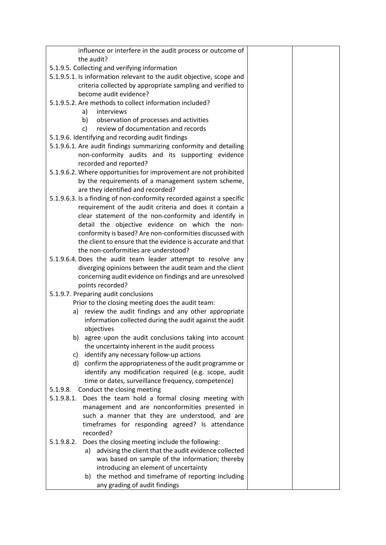| influence or interfere in the audit process or outcome of             |  |
|-----------------------------------------------------------------------|--|
| the audit?                                                            |  |
| 5.1.9.5. Collecting and verifying information                         |  |
| 5.1.9.5.1. Is information relevant to the audit objective, scope and  |  |
| criteria collected by appropriate sampling and verified to            |  |
| become audit evidence?                                                |  |
| 5.1.9.5.2. Are methods to collect information included?               |  |
| interviews<br>a)                                                      |  |
| observation of processes and activities<br>b)                         |  |
| review of documentation and records<br>c)                             |  |
| 5.1.9.6. Identifying and recording audit findings                     |  |
| 5.1.9.6.1. Are audit findings summarizing conformity and detailing    |  |
| non-conformity audits and its supporting evidence                     |  |
| recorded and reported?                                                |  |
| 5.1.9.6.2. Where opportunities for improvement are not prohibited     |  |
| by the requirements of a management system scheme,                    |  |
| are they identified and recorded?                                     |  |
| 5.1.9.6.3. Is a finding of non-conformity recorded against a specific |  |
| requirement of the audit criteria and does it contain a               |  |
| clear statement of the non-conformity and identify in                 |  |
| detail the objective evidence on which the non-                       |  |
| conformity is based? Are non-conformities discussed with              |  |
| the client to ensure that the evidence is accurate and that           |  |
| the non-conformities are understood?                                  |  |
| 5.1.9.6.4. Does the audit team leader attempt to resolve any          |  |
| diverging opinions between the audit team and the client              |  |
| concerning audit evidence on findings and are unresolved              |  |
| points recorded?                                                      |  |
| 5.1.9.7. Preparing audit conclusions                                  |  |
| Prior to the closing meeting does the audit team:                     |  |
| a) review the audit findings and any other appropriate                |  |
| information collected during the audit against the audit              |  |
| objectives                                                            |  |
| agree upon the audit conclusions taking into account<br>b)            |  |
| the uncertainty inherent in the audit process                         |  |
| identify any necessary follow-up actions<br>C)                        |  |
| confirm the appropriateness of the audit programme or<br>d)           |  |
| identify any modification required (e.g. scope, audit                 |  |
| time or dates, surveillance frequency, competence)                    |  |
| Conduct the closing meeting<br>5.1.9.8.                               |  |
| 5.1.9.8.1.<br>Does the team hold a formal closing meeting with        |  |
| management and are nonconformities presented in                       |  |
| such a manner that they are understood, and are                       |  |
| timeframes for responding agreed? Is attendance                       |  |
| recorded?                                                             |  |
| Does the closing meeting include the following:<br>5.1.9.8.2.         |  |
| advising the client that the audit evidence collected<br>a)           |  |
| was based on sample of the information; thereby                       |  |
| introducing an element of uncertainty                                 |  |
| b) the method and timeframe of reporting including                    |  |
| any grading of audit findings                                         |  |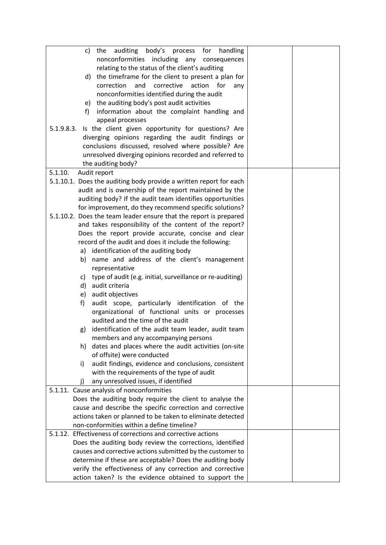| auditing body's process for<br>handling<br>the<br>C)                                                               |  |
|--------------------------------------------------------------------------------------------------------------------|--|
| nonconformities including any consequences                                                                         |  |
| relating to the status of the client's auditing                                                                    |  |
| d) the timeframe for the client to present a plan for                                                              |  |
| correction<br>corrective<br>action<br>and<br>for<br>any                                                            |  |
| nonconformities identified during the audit                                                                        |  |
| e) the auditing body's post audit activities                                                                       |  |
| information about the complaint handling and<br>f)                                                                 |  |
| appeal processes                                                                                                   |  |
| Is the client given opportunity for questions? Are<br>5.1.9.8.3.                                                   |  |
| diverging opinions regarding the audit findings or                                                                 |  |
| conclusions discussed, resolved where possible? Are                                                                |  |
| unresolved diverging opinions recorded and referred to                                                             |  |
| the auditing body?                                                                                                 |  |
| 5.1.10.<br>Audit report                                                                                            |  |
| 5.1.10.1. Does the auditing body provide a written report for each                                                 |  |
| audit and is ownership of the report maintained by the                                                             |  |
| auditing body? If the audit team identifies opportunities                                                          |  |
| for improvement, do they recommend specific solutions?                                                             |  |
| 5.1.10.2. Does the team leader ensure that the report is prepared                                                  |  |
| and takes responsibility of the content of the report?                                                             |  |
| Does the report provide accurate, concise and clear                                                                |  |
| record of the audit and does it include the following:                                                             |  |
| a) identification of the auditing body                                                                             |  |
| b) name and address of the client's management                                                                     |  |
| representative                                                                                                     |  |
| c) type of audit (e.g. initial, surveillance or re-auditing)                                                       |  |
| d) audit criteria                                                                                                  |  |
| e) audit objectives                                                                                                |  |
| audit scope, particularly identification of the<br>f)                                                              |  |
| organizational of functional units or processes                                                                    |  |
| audited and the time of the audit                                                                                  |  |
| identification of the audit team leader, audit team<br>g)                                                          |  |
| members and any accompanying persons                                                                               |  |
| dates and places where the audit activities (on-site<br>h)                                                         |  |
| of offsite) were conducted                                                                                         |  |
| audit findings, evidence and conclusions, consistent<br>i)                                                         |  |
| with the requirements of the type of audit                                                                         |  |
| any unresolved issues, if identified<br>Ð                                                                          |  |
| 5.1.11. Cause analysis of nonconformities                                                                          |  |
| Does the auditing body require the client to analyse the                                                           |  |
| cause and describe the specific correction and corrective                                                          |  |
| actions taken or planned to be taken to eliminate detected                                                         |  |
| non-conformities within a define timeline?<br>5.1.12. Effectiveness of corrections and corrective actions          |  |
|                                                                                                                    |  |
| Does the auditing body review the corrections, identified                                                          |  |
| causes and corrective actions submitted by the customer to                                                         |  |
| determine if these are acceptable? Does the auditing body                                                          |  |
| verify the effectiveness of any correction and corrective<br>action taken? Is the evidence obtained to support the |  |
|                                                                                                                    |  |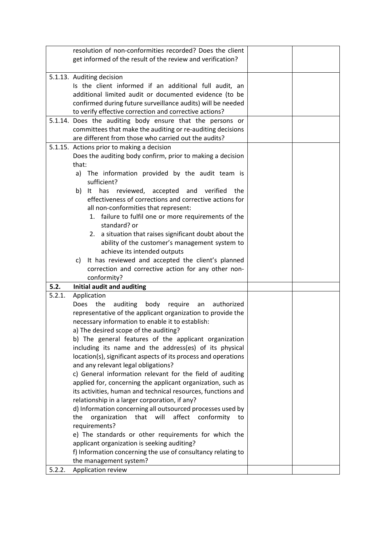|        | resolution of non-conformities recorded? Does the client       |  |
|--------|----------------------------------------------------------------|--|
|        | get informed of the result of the review and verification?     |  |
|        |                                                                |  |
|        | 5.1.13. Auditing decision                                      |  |
|        | Is the client informed if an additional full audit, an         |  |
|        | additional limited audit or documented evidence (to be         |  |
|        | confirmed during future surveillance audits) will be needed    |  |
|        | to verify effective correction and corrective actions?         |  |
|        | 5.1.14. Does the auditing body ensure that the persons or      |  |
|        | committees that make the auditing or re-auditing decisions     |  |
|        | are different from those who carried out the audits?           |  |
|        | 5.1.15. Actions prior to making a decision                     |  |
|        | Does the auditing body confirm, prior to making a decision     |  |
|        | that:                                                          |  |
|        | a) The information provided by the audit team is               |  |
|        | sufficient?                                                    |  |
|        | It has reviewed, accepted<br>and<br>b)<br>verified<br>the      |  |
|        | effectiveness of corrections and corrective actions for        |  |
|        | all non-conformities that represent:                           |  |
|        | 1. failure to fulfil one or more requirements of the           |  |
|        | standard? or                                                   |  |
|        | 2. a situation that raises significant doubt about the         |  |
|        | ability of the customer's management system to                 |  |
|        | achieve its intended outputs                                   |  |
|        | It has reviewed and accepted the client's planned<br>c)        |  |
|        | correction and corrective action for any other non-            |  |
|        | conformity?                                                    |  |
| 5.2.   | Initial audit and auditing                                     |  |
| 5.2.1. | Application                                                    |  |
|        | Does the<br>auditing<br>body<br>authorized<br>require<br>an    |  |
|        | representative of the applicant organization to provide the    |  |
|        | necessary information to enable it to establish:               |  |
|        | a) The desired scope of the auditing?                          |  |
|        | b) The general features of the applicant organization          |  |
|        | including its name and the address(es) of its physical         |  |
|        | location(s), significant aspects of its process and operations |  |
|        | and any relevant legal obligations?                            |  |
|        | c) General information relevant for the field of auditing      |  |
|        | applied for, concerning the applicant organization, such as    |  |
|        | its activities, human and technical resources, functions and   |  |
|        | relationship in a larger corporation, if any?                  |  |
|        | d) Information concerning all outsourced processes used by     |  |
|        | organization that will<br>affect<br>conformity<br>the<br>to    |  |
|        | requirements?                                                  |  |
|        | e) The standards or other requirements for which the           |  |
|        | applicant organization is seeking auditing?                    |  |
|        | f) Information concerning the use of consultancy relating to   |  |
|        | the management system?                                         |  |
| 5.2.2. | Application review                                             |  |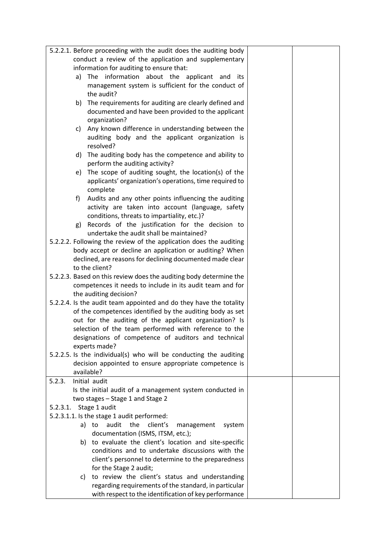| 5.2.2.1. Before proceeding with the audit does the auditing body<br>conduct a review of the application and supplementary<br>information for auditing to ensure that:<br>The information about the applicant<br>a)<br>and<br>its<br>management system is sufficient for the conduct of<br>the audit?<br>b) The requirements for auditing are clearly defined and<br>documented and have been provided to the applicant<br>organization?<br>Any known difference in understanding between the<br>C)<br>auditing body and the applicant organization is<br>resolved?<br>The auditing body has the competence and ability to<br>d)<br>perform the auditing activity?<br>The scope of auditing sought, the location(s) of the<br>e)<br>applicants' organization's operations, time required to<br>complete<br>Audits and any other points influencing the auditing<br>f)<br>activity are taken into account (language, safety<br>conditions, threats to impartiality, etc.)?<br>Records of the justification for the decision to<br>g)<br>undertake the audit shall be maintained?<br>5.2.2.2. Following the review of the application does the auditing<br>body accept or decline an application or auditing? When<br>declined, are reasons for declining documented made clear |
|------------------------------------------------------------------------------------------------------------------------------------------------------------------------------------------------------------------------------------------------------------------------------------------------------------------------------------------------------------------------------------------------------------------------------------------------------------------------------------------------------------------------------------------------------------------------------------------------------------------------------------------------------------------------------------------------------------------------------------------------------------------------------------------------------------------------------------------------------------------------------------------------------------------------------------------------------------------------------------------------------------------------------------------------------------------------------------------------------------------------------------------------------------------------------------------------------------------------------------------------------------------------------|
|                                                                                                                                                                                                                                                                                                                                                                                                                                                                                                                                                                                                                                                                                                                                                                                                                                                                                                                                                                                                                                                                                                                                                                                                                                                                              |
|                                                                                                                                                                                                                                                                                                                                                                                                                                                                                                                                                                                                                                                                                                                                                                                                                                                                                                                                                                                                                                                                                                                                                                                                                                                                              |
|                                                                                                                                                                                                                                                                                                                                                                                                                                                                                                                                                                                                                                                                                                                                                                                                                                                                                                                                                                                                                                                                                                                                                                                                                                                                              |
|                                                                                                                                                                                                                                                                                                                                                                                                                                                                                                                                                                                                                                                                                                                                                                                                                                                                                                                                                                                                                                                                                                                                                                                                                                                                              |
|                                                                                                                                                                                                                                                                                                                                                                                                                                                                                                                                                                                                                                                                                                                                                                                                                                                                                                                                                                                                                                                                                                                                                                                                                                                                              |
|                                                                                                                                                                                                                                                                                                                                                                                                                                                                                                                                                                                                                                                                                                                                                                                                                                                                                                                                                                                                                                                                                                                                                                                                                                                                              |
|                                                                                                                                                                                                                                                                                                                                                                                                                                                                                                                                                                                                                                                                                                                                                                                                                                                                                                                                                                                                                                                                                                                                                                                                                                                                              |
|                                                                                                                                                                                                                                                                                                                                                                                                                                                                                                                                                                                                                                                                                                                                                                                                                                                                                                                                                                                                                                                                                                                                                                                                                                                                              |
|                                                                                                                                                                                                                                                                                                                                                                                                                                                                                                                                                                                                                                                                                                                                                                                                                                                                                                                                                                                                                                                                                                                                                                                                                                                                              |
|                                                                                                                                                                                                                                                                                                                                                                                                                                                                                                                                                                                                                                                                                                                                                                                                                                                                                                                                                                                                                                                                                                                                                                                                                                                                              |
|                                                                                                                                                                                                                                                                                                                                                                                                                                                                                                                                                                                                                                                                                                                                                                                                                                                                                                                                                                                                                                                                                                                                                                                                                                                                              |
|                                                                                                                                                                                                                                                                                                                                                                                                                                                                                                                                                                                                                                                                                                                                                                                                                                                                                                                                                                                                                                                                                                                                                                                                                                                                              |
|                                                                                                                                                                                                                                                                                                                                                                                                                                                                                                                                                                                                                                                                                                                                                                                                                                                                                                                                                                                                                                                                                                                                                                                                                                                                              |
|                                                                                                                                                                                                                                                                                                                                                                                                                                                                                                                                                                                                                                                                                                                                                                                                                                                                                                                                                                                                                                                                                                                                                                                                                                                                              |
|                                                                                                                                                                                                                                                                                                                                                                                                                                                                                                                                                                                                                                                                                                                                                                                                                                                                                                                                                                                                                                                                                                                                                                                                                                                                              |
|                                                                                                                                                                                                                                                                                                                                                                                                                                                                                                                                                                                                                                                                                                                                                                                                                                                                                                                                                                                                                                                                                                                                                                                                                                                                              |
|                                                                                                                                                                                                                                                                                                                                                                                                                                                                                                                                                                                                                                                                                                                                                                                                                                                                                                                                                                                                                                                                                                                                                                                                                                                                              |
|                                                                                                                                                                                                                                                                                                                                                                                                                                                                                                                                                                                                                                                                                                                                                                                                                                                                                                                                                                                                                                                                                                                                                                                                                                                                              |
|                                                                                                                                                                                                                                                                                                                                                                                                                                                                                                                                                                                                                                                                                                                                                                                                                                                                                                                                                                                                                                                                                                                                                                                                                                                                              |
|                                                                                                                                                                                                                                                                                                                                                                                                                                                                                                                                                                                                                                                                                                                                                                                                                                                                                                                                                                                                                                                                                                                                                                                                                                                                              |
|                                                                                                                                                                                                                                                                                                                                                                                                                                                                                                                                                                                                                                                                                                                                                                                                                                                                                                                                                                                                                                                                                                                                                                                                                                                                              |
|                                                                                                                                                                                                                                                                                                                                                                                                                                                                                                                                                                                                                                                                                                                                                                                                                                                                                                                                                                                                                                                                                                                                                                                                                                                                              |
|                                                                                                                                                                                                                                                                                                                                                                                                                                                                                                                                                                                                                                                                                                                                                                                                                                                                                                                                                                                                                                                                                                                                                                                                                                                                              |
|                                                                                                                                                                                                                                                                                                                                                                                                                                                                                                                                                                                                                                                                                                                                                                                                                                                                                                                                                                                                                                                                                                                                                                                                                                                                              |
| to the client?                                                                                                                                                                                                                                                                                                                                                                                                                                                                                                                                                                                                                                                                                                                                                                                                                                                                                                                                                                                                                                                                                                                                                                                                                                                               |
| 5.2.2.3. Based on this review does the auditing body determine the                                                                                                                                                                                                                                                                                                                                                                                                                                                                                                                                                                                                                                                                                                                                                                                                                                                                                                                                                                                                                                                                                                                                                                                                           |
| competences it needs to include in its audit team and for                                                                                                                                                                                                                                                                                                                                                                                                                                                                                                                                                                                                                                                                                                                                                                                                                                                                                                                                                                                                                                                                                                                                                                                                                    |
| the auditing decision?                                                                                                                                                                                                                                                                                                                                                                                                                                                                                                                                                                                                                                                                                                                                                                                                                                                                                                                                                                                                                                                                                                                                                                                                                                                       |
| 5.2.2.4. Is the audit team appointed and do they have the totality                                                                                                                                                                                                                                                                                                                                                                                                                                                                                                                                                                                                                                                                                                                                                                                                                                                                                                                                                                                                                                                                                                                                                                                                           |
| of the competences identified by the auditing body as set                                                                                                                                                                                                                                                                                                                                                                                                                                                                                                                                                                                                                                                                                                                                                                                                                                                                                                                                                                                                                                                                                                                                                                                                                    |
| out for the auditing of the applicant organization? Is                                                                                                                                                                                                                                                                                                                                                                                                                                                                                                                                                                                                                                                                                                                                                                                                                                                                                                                                                                                                                                                                                                                                                                                                                       |
| selection of the team performed with reference to the                                                                                                                                                                                                                                                                                                                                                                                                                                                                                                                                                                                                                                                                                                                                                                                                                                                                                                                                                                                                                                                                                                                                                                                                                        |
| designations of competence of auditors and technical                                                                                                                                                                                                                                                                                                                                                                                                                                                                                                                                                                                                                                                                                                                                                                                                                                                                                                                                                                                                                                                                                                                                                                                                                         |
| experts made?                                                                                                                                                                                                                                                                                                                                                                                                                                                                                                                                                                                                                                                                                                                                                                                                                                                                                                                                                                                                                                                                                                                                                                                                                                                                |
| 5.2.2.5. Is the individual(s) who will be conducting the auditing                                                                                                                                                                                                                                                                                                                                                                                                                                                                                                                                                                                                                                                                                                                                                                                                                                                                                                                                                                                                                                                                                                                                                                                                            |
| decision appointed to ensure appropriate competence is                                                                                                                                                                                                                                                                                                                                                                                                                                                                                                                                                                                                                                                                                                                                                                                                                                                                                                                                                                                                                                                                                                                                                                                                                       |
| available?                                                                                                                                                                                                                                                                                                                                                                                                                                                                                                                                                                                                                                                                                                                                                                                                                                                                                                                                                                                                                                                                                                                                                                                                                                                                   |
| Initial audit<br>5.2.3.                                                                                                                                                                                                                                                                                                                                                                                                                                                                                                                                                                                                                                                                                                                                                                                                                                                                                                                                                                                                                                                                                                                                                                                                                                                      |
| Is the initial audit of a management system conducted in                                                                                                                                                                                                                                                                                                                                                                                                                                                                                                                                                                                                                                                                                                                                                                                                                                                                                                                                                                                                                                                                                                                                                                                                                     |
| two stages - Stage 1 and Stage 2                                                                                                                                                                                                                                                                                                                                                                                                                                                                                                                                                                                                                                                                                                                                                                                                                                                                                                                                                                                                                                                                                                                                                                                                                                             |
| Stage 1 audit<br>5.2.3.1.<br>5.2.3.1.1. Is the stage 1 audit performed:                                                                                                                                                                                                                                                                                                                                                                                                                                                                                                                                                                                                                                                                                                                                                                                                                                                                                                                                                                                                                                                                                                                                                                                                      |
| audit the<br>client's<br>a) to<br>management<br>system                                                                                                                                                                                                                                                                                                                                                                                                                                                                                                                                                                                                                                                                                                                                                                                                                                                                                                                                                                                                                                                                                                                                                                                                                       |
| documentation (ISMS, ITSM, etc.);                                                                                                                                                                                                                                                                                                                                                                                                                                                                                                                                                                                                                                                                                                                                                                                                                                                                                                                                                                                                                                                                                                                                                                                                                                            |
| b) to evaluate the client's location and site-specific                                                                                                                                                                                                                                                                                                                                                                                                                                                                                                                                                                                                                                                                                                                                                                                                                                                                                                                                                                                                                                                                                                                                                                                                                       |
| conditions and to undertake discussions with the                                                                                                                                                                                                                                                                                                                                                                                                                                                                                                                                                                                                                                                                                                                                                                                                                                                                                                                                                                                                                                                                                                                                                                                                                             |
| client's personnel to determine to the preparedness                                                                                                                                                                                                                                                                                                                                                                                                                                                                                                                                                                                                                                                                                                                                                                                                                                                                                                                                                                                                                                                                                                                                                                                                                          |
| for the Stage 2 audit;                                                                                                                                                                                                                                                                                                                                                                                                                                                                                                                                                                                                                                                                                                                                                                                                                                                                                                                                                                                                                                                                                                                                                                                                                                                       |
| to review the client's status and understanding<br>C)                                                                                                                                                                                                                                                                                                                                                                                                                                                                                                                                                                                                                                                                                                                                                                                                                                                                                                                                                                                                                                                                                                                                                                                                                        |
| regarding requirements of the standard, in particular                                                                                                                                                                                                                                                                                                                                                                                                                                                                                                                                                                                                                                                                                                                                                                                                                                                                                                                                                                                                                                                                                                                                                                                                                        |
| with respect to the identification of key performance                                                                                                                                                                                                                                                                                                                                                                                                                                                                                                                                                                                                                                                                                                                                                                                                                                                                                                                                                                                                                                                                                                                                                                                                                        |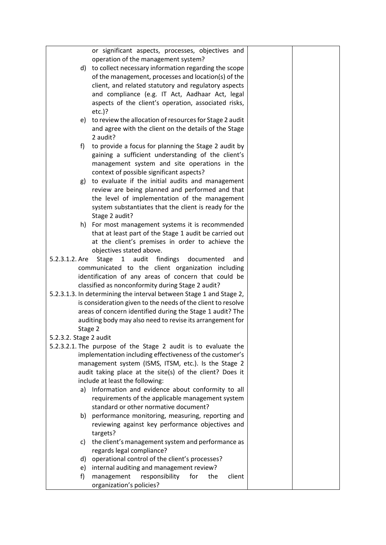|                        | or significant aspects, processes, objectives and                   |  |
|------------------------|---------------------------------------------------------------------|--|
|                        | operation of the management system?                                 |  |
|                        | d) to collect necessary information regarding the scope             |  |
|                        | of the management, processes and location(s) of the                 |  |
|                        | client, and related statutory and regulatory aspects                |  |
|                        | and compliance (e.g. IT Act, Aadhaar Act, legal                     |  |
|                        | aspects of the client's operation, associated risks,                |  |
|                        | $etc.$ )?                                                           |  |
|                        | e) to review the allocation of resources for Stage 2 audit          |  |
|                        | and agree with the client on the details of the Stage               |  |
|                        | 2 audit?                                                            |  |
| f)                     | to provide a focus for planning the Stage 2 audit by                |  |
|                        | gaining a sufficient understanding of the client's                  |  |
|                        | management system and site operations in the                        |  |
|                        | context of possible significant aspects?                            |  |
|                        | g) to evaluate if the initial audits and management                 |  |
|                        | review are being planned and performed and that                     |  |
|                        | the level of implementation of the management                       |  |
|                        | system substantiates that the client is ready for the               |  |
|                        | Stage 2 audit?                                                      |  |
|                        | h) For most management systems it is recommended                    |  |
|                        | that at least part of the Stage 1 audit be carried out              |  |
|                        | at the client's premises in order to achieve the                    |  |
|                        | objectives stated above.                                            |  |
| 5.2.3.1.2. Are         | audit<br>findings<br>documented<br>Stage<br>1<br>and                |  |
|                        | communicated to the client organization including                   |  |
|                        | identification of any areas of concern that could be                |  |
|                        | classified as nonconformity during Stage 2 audit?                   |  |
|                        | 5.2.3.1.3. In determining the interval between Stage 1 and Stage 2, |  |
|                        | is consideration given to the needs of the client to resolve        |  |
|                        | areas of concern identified during the Stage 1 audit? The           |  |
|                        | auditing body may also need to revise its arrangement for           |  |
|                        | Stage 2                                                             |  |
| 5.2.3.2. Stage 2 audit |                                                                     |  |
|                        | 5.2.3.2.1. The purpose of the Stage 2 audit is to evaluate the      |  |
|                        | implementation including effectiveness of the customer's            |  |
|                        | management system (ISMS, ITSM, etc.). Is the Stage 2                |  |
|                        | audit taking place at the site(s) of the client? Does it            |  |
|                        | include at least the following:                                     |  |
|                        | a) Information and evidence about conformity to all                 |  |
|                        | requirements of the applicable management system                    |  |
|                        | standard or other normative document?                               |  |
|                        | b) performance monitoring, measuring, reporting and                 |  |
|                        | reviewing against key performance objectives and                    |  |
|                        | targets?                                                            |  |
|                        | the client's management system and performance as<br>C)             |  |
|                        | regards legal compliance?                                           |  |
|                        | operational control of the client's processes?<br>d)                |  |
|                        | internal auditing and management review?<br>e)                      |  |
| f)                     | management<br>responsibility<br>for<br>the<br>client                |  |
|                        | organization's policies?                                            |  |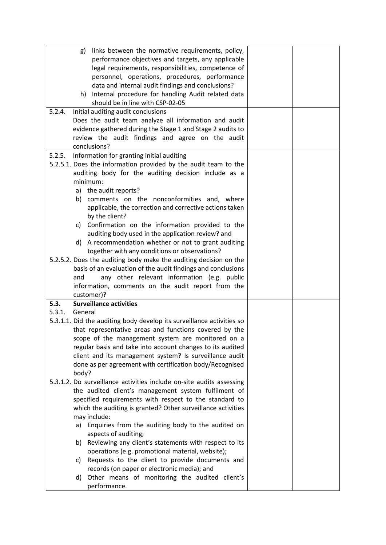|        | g)      | links between the normative requirements, policy,<br>performance objectives and targets, any applicable                                                    |  |
|--------|---------|------------------------------------------------------------------------------------------------------------------------------------------------------------|--|
|        |         | legal requirements, responsibilities, competence of<br>personnel, operations, procedures, performance<br>data and internal audit findings and conclusions? |  |
|        | h)      | Internal procedure for handling Audit related data<br>should be in line with CSP-02-05                                                                     |  |
| 5.2.4. |         | Initial auditing audit conclusions                                                                                                                         |  |
|        |         | Does the audit team analyze all information and audit                                                                                                      |  |
|        |         | evidence gathered during the Stage 1 and Stage 2 audits to                                                                                                 |  |
|        |         | review the audit findings and agree on the audit                                                                                                           |  |
|        |         | conclusions?                                                                                                                                               |  |
| 5.2.5. |         | Information for granting initial auditing                                                                                                                  |  |
|        |         | 5.2.5.1. Does the information provided by the audit team to the                                                                                            |  |
|        |         | auditing body for the auditing decision include as a<br>minimum:                                                                                           |  |
|        |         | a) the audit reports?                                                                                                                                      |  |
|        |         | b) comments on the nonconformities and, where                                                                                                              |  |
|        |         | applicable, the correction and corrective actions taken<br>by the client?                                                                                  |  |
|        |         | c) Confirmation on the information provided to the<br>auditing body used in the application review? and                                                    |  |
|        | d)      | A recommendation whether or not to grant auditing                                                                                                          |  |
|        |         | together with any conditions or observations?                                                                                                              |  |
|        |         | 5.2.5.2. Does the auditing body make the auditing decision on the                                                                                          |  |
|        |         | basis of an evaluation of the audit findings and conclusions                                                                                               |  |
|        | and     | any other relevant information (e.g. public                                                                                                                |  |
|        |         | information, comments on the audit report from the                                                                                                         |  |
|        |         | customer)?                                                                                                                                                 |  |
| 5.3.   |         | <b>Surveillance activities</b>                                                                                                                             |  |
| 5.3.1. | General | 5.3.1.1. Did the auditing body develop its surveillance activities so                                                                                      |  |
|        |         | that representative areas and functions covered by the                                                                                                     |  |
|        |         | scope of the management system are monitored on a                                                                                                          |  |
|        |         | regular basis and take into account changes to its audited                                                                                                 |  |
|        |         | client and its management system? Is surveillance audit                                                                                                    |  |
|        |         | done as per agreement with certification body/Recognised                                                                                                   |  |
|        | body?   |                                                                                                                                                            |  |
|        |         | 5.3.1.2. Do surveillance activities include on-site audits assessing                                                                                       |  |
|        |         | the audited client's management system fulfilment of                                                                                                       |  |
|        |         | specified requirements with respect to the standard to                                                                                                     |  |
|        |         | which the auditing is granted? Other surveillance activities                                                                                               |  |
|        |         | may include:                                                                                                                                               |  |
|        | a)      | Enquiries from the auditing body to the audited on                                                                                                         |  |
|        |         | aspects of auditing;                                                                                                                                       |  |
|        | b)      | Reviewing any client's statements with respect to its<br>operations (e.g. promotional material, website);                                                  |  |
|        | C)      | Requests to the client to provide documents and                                                                                                            |  |
|        |         | records (on paper or electronic media); and                                                                                                                |  |
|        | d)      | Other means of monitoring the audited client's                                                                                                             |  |
|        |         | performance.                                                                                                                                               |  |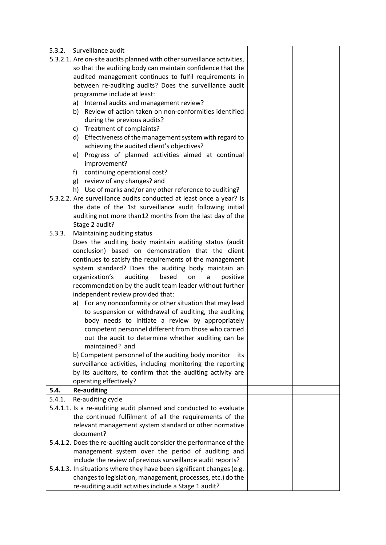| 5.3.2. | Surveillance audit                                                      |  |
|--------|-------------------------------------------------------------------------|--|
|        | 5.3.2.1. Are on-site audits planned with other surveillance activities, |  |
|        | so that the auditing body can maintain confidence that the              |  |
|        | audited management continues to fulfil requirements in                  |  |
|        | between re-auditing audits? Does the surveillance audit                 |  |
|        | programme include at least:                                             |  |
|        | a) Internal audits and management review?                               |  |
|        | b) Review of action taken on non-conformities identified                |  |
|        | during the previous audits?                                             |  |
|        | Treatment of complaints?<br>C)                                          |  |
|        | d) Effectiveness of the management system with regard to                |  |
|        | achieving the audited client's objectives?                              |  |
|        | e) Progress of planned activities aimed at continual                    |  |
|        | improvement?                                                            |  |
|        | continuing operational cost?<br>f)                                      |  |
|        | g) review of any changes? and                                           |  |
|        | h) Use of marks and/or any other reference to auditing?                 |  |
|        | 5.3.2.2. Are surveillance audits conducted at least once a year? Is     |  |
|        | the date of the 1st surveillance audit following initial                |  |
|        | auditing not more than12 months from the last day of the                |  |
|        | Stage 2 audit?                                                          |  |
| 5.3.3. | Maintaining auditing status                                             |  |
|        | Does the auditing body maintain auditing status (audit                  |  |
|        | conclusion) based on demonstration that the client                      |  |
|        | continues to satisfy the requirements of the management                 |  |
|        | system standard? Does the auditing body maintain an                     |  |
|        | organization's<br>auditing<br>based<br>on<br>positive<br>a              |  |
|        | recommendation by the audit team leader without further                 |  |
|        | independent review provided that:                                       |  |
|        | a) For any nonconformity or other situation that may lead               |  |
|        | to suspension or withdrawal of auditing, the auditing                   |  |
|        | body needs to initiate a review by appropriately                        |  |
|        | competent personnel different from those who carried                    |  |
|        | out the audit to determine whether auditing can be                      |  |
|        | maintained? and                                                         |  |
|        | b) Competent personnel of the auditing body monitor<br>its              |  |
|        | surveillance activities, including monitoring the reporting             |  |
|        | by its auditors, to confirm that the auditing activity are              |  |
| 5.4.   | operating effectively?                                                  |  |
| 5.4.1. | <b>Re-auditing</b><br>Re-auditing cycle                                 |  |
|        | 5.4.1.1. Is a re-auditing audit planned and conducted to evaluate       |  |
|        | the continued fulfilment of all the requirements of the                 |  |
|        | relevant management system standard or other normative                  |  |
|        | document?                                                               |  |
|        | 5.4.1.2. Does the re-auditing audit consider the performance of the     |  |
|        | management system over the period of auditing and                       |  |
|        | include the review of previous surveillance audit reports?              |  |
|        | 5.4.1.3. In situations where they have been significant changes (e.g.   |  |
|        | changes to legislation, management, processes, etc.) do the             |  |
|        | re-auditing audit activities include a Stage 1 audit?                   |  |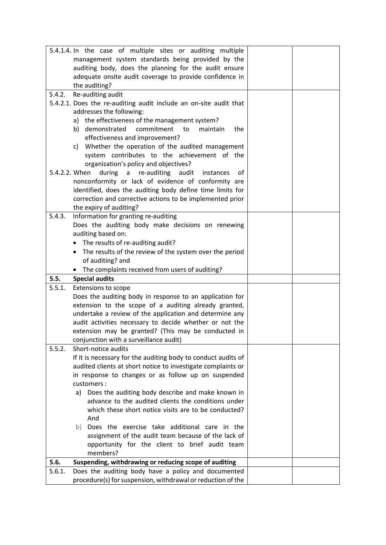|        | 5.4.1.4. In the case of multiple sites or auditing multiple       |  |
|--------|-------------------------------------------------------------------|--|
|        | management system standards being provided by the                 |  |
|        | auditing body, does the planning for the audit ensure             |  |
|        | adequate onsite audit coverage to provide confidence in           |  |
|        | the auditing?                                                     |  |
| 5.4.2. | Re-auditing audit                                                 |  |
|        | 5.4.2.1. Does the re-auditing audit include an on-site audit that |  |
|        | addresses the following:                                          |  |
|        | a) the effectiveness of the management system?                    |  |
|        | commitment<br>to<br>b) demonstrated<br>maintain<br>the            |  |
|        | effectiveness and improvement?                                    |  |
|        | c) Whether the operation of the audited management                |  |
|        | system contributes to the achievement of the                      |  |
|        | organization's policy and objectives?                             |  |
|        | 5.4.2.2. When<br>during a re-auditing audit<br>of<br>instances    |  |
|        | nonconformity or lack of evidence of conformity are               |  |
|        | identified, does the auditing body define time limits for         |  |
|        | correction and corrective actions to be implemented prior         |  |
|        |                                                                   |  |
| 5.4.3. | the expiry of auditing?<br>Information for granting re-auditing   |  |
|        | Does the auditing body make decisions on renewing                 |  |
|        | auditing based on:                                                |  |
|        |                                                                   |  |
|        | • The results of re-auditing audit?                               |  |
|        | The results of the review of the system over the period<br>٠      |  |
|        | of auditing? and                                                  |  |
|        | The complaints received from users of auditing?                   |  |
| 5.5.   | <b>Special audits</b>                                             |  |
| 5.5.1. | <b>Extensions to scope</b>                                        |  |
|        | Does the auditing body in response to an application for          |  |
|        | extension to the scope of a auditing already granted,             |  |
|        | undertake a review of the application and determine any           |  |
|        | audit activities necessary to decide whether or not the           |  |
|        | extension may be granted? (This may be conducted in               |  |
|        | conjunction with a surveillance audit)                            |  |
| 5.5.2. | Short-notice audits                                               |  |
|        | If it is necessary for the auditing body to conduct audits of     |  |
|        | audited clients at short notice to investigate complaints or      |  |
|        | in response to changes or as follow up on suspended               |  |
|        | customers:                                                        |  |
|        | a) Does the auditing body describe and make known in              |  |
|        | advance to the audited clients the conditions under               |  |
|        | which these short notice visits are to be conducted?              |  |
|        | And                                                               |  |
|        | b) Does the exercise take additional care in the                  |  |
|        | assignment of the audit team because of the lack of               |  |
|        | opportunity for the client to brief audit team                    |  |
|        | members?                                                          |  |
| 5.6.   | Suspending, withdrawing or reducing scope of auditing             |  |
| 5.6.1. | Does the auditing body have a policy and documented               |  |
|        | procedure(s) for suspension, withdrawal or reduction of the       |  |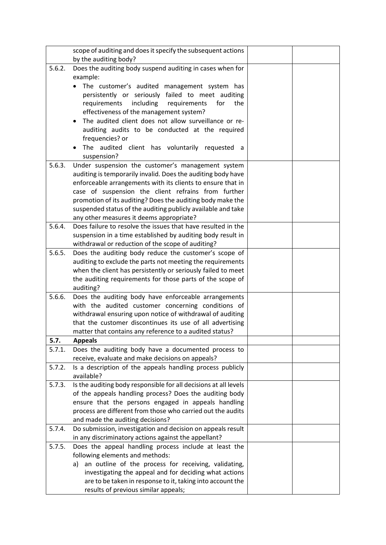|        | scope of auditing and does it specify the subsequent actions                               |  |
|--------|--------------------------------------------------------------------------------------------|--|
|        | by the auditing body?                                                                      |  |
| 5.6.2. | Does the auditing body suspend auditing in cases when for                                  |  |
|        | example:                                                                                   |  |
|        | The customer's audited management system has                                               |  |
|        | persistently or seriously failed to meet auditing                                          |  |
|        | requirements<br>including<br>requirements<br>for<br>the                                    |  |
|        | effectiveness of the management system?                                                    |  |
|        | The audited client does not allow surveillance or re-<br>$\bullet$                         |  |
|        | auditing audits to be conducted at the required                                            |  |
|        | frequencies? or                                                                            |  |
|        | The audited client has voluntarily requested a                                             |  |
|        | suspension?                                                                                |  |
| 5.6.3. | Under suspension the customer's management system                                          |  |
|        | auditing is temporarily invalid. Does the auditing body have                               |  |
|        | enforceable arrangements with its clients to ensure that in                                |  |
|        | case of suspension the client refrains from further                                        |  |
|        | promotion of its auditing? Does the auditing body make the                                 |  |
|        | suspended status of the auditing publicly available and take                               |  |
|        | any other measures it deems appropriate?                                                   |  |
| 5.6.4. | Does failure to resolve the issues that have resulted in the                               |  |
|        | suspension in a time established by auditing body result in                                |  |
|        | withdrawal or reduction of the scope of auditing?                                          |  |
| 5.6.5. | Does the auditing body reduce the customer's scope of                                      |  |
|        | auditing to exclude the parts not meeting the requirements                                 |  |
|        | when the client has persistently or seriously failed to meet                               |  |
|        | the auditing requirements for those parts of the scope of<br>auditing?                     |  |
| 5.6.6. | Does the auditing body have enforceable arrangements                                       |  |
|        | with the audited customer concerning conditions of                                         |  |
|        | withdrawal ensuring upon notice of withdrawal of auditing                                  |  |
|        | that the customer discontinues its use of all advertising                                  |  |
|        | matter that contains any reference to a audited status?                                    |  |
| 5.7.   | <b>Appeals</b>                                                                             |  |
| 5.7.1. | Does the auditing body have a documented process to                                        |  |
|        | receive, evaluate and make decisions on appeals?                                           |  |
| 5.7.2. | Is a description of the appeals handling process publicly                                  |  |
|        | available?                                                                                 |  |
| 5.7.3. | Is the auditing body responsible for all decisions at all levels                           |  |
|        | of the appeals handling process? Does the auditing body                                    |  |
|        | ensure that the persons engaged in appeals handling                                        |  |
|        | process are different from those who carried out the audits                                |  |
|        | and made the auditing decisions?                                                           |  |
| 5.7.4. | Do submission, investigation and decision on appeals result                                |  |
|        | in any discriminatory actions against the appellant?                                       |  |
| 5.7.5. | Does the appeal handling process include at least the                                      |  |
|        | following elements and methods:<br>a) an outline of the process for receiving, validating, |  |
|        | investigating the appeal and for deciding what actions                                     |  |
|        | are to be taken in response to it, taking into account the                                 |  |
|        | results of previous similar appeals;                                                       |  |
|        |                                                                                            |  |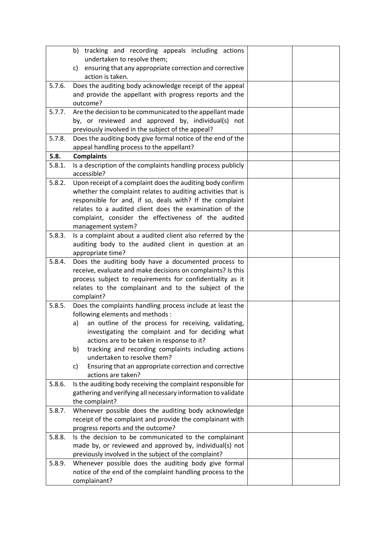|        | b) tracking and recording appeals including actions                                                                           |  |
|--------|-------------------------------------------------------------------------------------------------------------------------------|--|
|        | undertaken to resolve them;<br>ensuring that any appropriate correction and corrective<br>C)                                  |  |
|        | action is taken.                                                                                                              |  |
| 5.7.6. | Does the auditing body acknowledge receipt of the appeal                                                                      |  |
|        | and provide the appellant with progress reports and the                                                                       |  |
|        | outcome?                                                                                                                      |  |
| 5.7.7. | Are the decision to be communicated to the appellant made                                                                     |  |
|        | by, or reviewed and approved by, individual(s) not<br>previously involved in the subject of the appeal?                       |  |
| 5.7.8. | Does the auditing body give formal notice of the end of the                                                                   |  |
|        | appeal handling process to the appellant?                                                                                     |  |
| 5.8.   | <b>Complaints</b>                                                                                                             |  |
| 5.8.1. | Is a description of the complaints handling process publicly                                                                  |  |
|        | accessible?                                                                                                                   |  |
| 5.8.2. | Upon receipt of a complaint does the auditing body confirm<br>whether the complaint relates to auditing activities that is    |  |
|        | responsible for and, if so, deals with? If the complaint                                                                      |  |
|        | relates to a audited client does the examination of the                                                                       |  |
|        | complaint, consider the effectiveness of the audited                                                                          |  |
|        | management system?                                                                                                            |  |
| 5.8.3. | Is a complaint about a audited client also referred by the                                                                    |  |
|        | auditing body to the audited client in question at an                                                                         |  |
| 5.8.4. | appropriate time?<br>Does the auditing body have a documented process to                                                      |  |
|        | receive, evaluate and make decisions on complaints? Is this                                                                   |  |
|        | process subject to requirements for confidentiality as it                                                                     |  |
|        | relates to the complainant and to the subject of the                                                                          |  |
|        | complaint?                                                                                                                    |  |
| 5.8.5. | Does the complaints handling process include at least the                                                                     |  |
|        | following elements and methods :                                                                                              |  |
|        | an outline of the process for receiving, validating,<br>a)<br>investigating the complaint and for deciding what               |  |
|        | actions are to be taken in response to it?                                                                                    |  |
|        | tracking and recording complaints including actions<br>b)                                                                     |  |
|        | undertaken to resolve them?                                                                                                   |  |
|        | Ensuring that an appropriate correction and corrective<br>c)                                                                  |  |
|        | actions are taken?                                                                                                            |  |
| 5.8.6. | Is the auditing body receiving the complaint responsible for<br>gathering and verifying all necessary information to validate |  |
|        | the complaint?                                                                                                                |  |
| 5.8.7. | Whenever possible does the auditing body acknowledge                                                                          |  |
|        | receipt of the complaint and provide the complainant with                                                                     |  |
|        | progress reports and the outcome?                                                                                             |  |
| 5.8.8. | Is the decision to be communicated to the complainant                                                                         |  |
|        | made by, or reviewed and approved by, individual(s) not                                                                       |  |
| 5.8.9. | previously involved in the subject of the complaint?<br>Whenever possible does the auditing body give formal                  |  |
|        | notice of the end of the complaint handling process to the                                                                    |  |
|        | complainant?                                                                                                                  |  |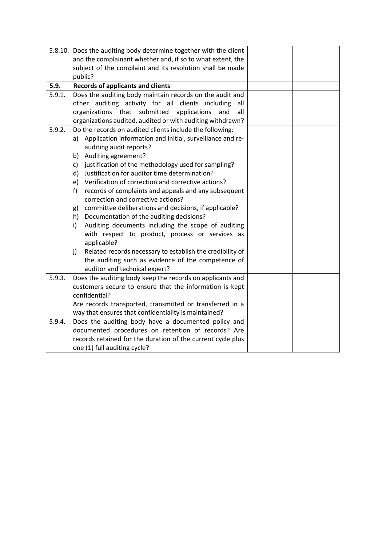|        | 5.8.10. Does the auditing body determine together with the client |  |
|--------|-------------------------------------------------------------------|--|
|        | and the complainant whether and, if so to what extent, the        |  |
|        | subject of the complaint and its resolution shall be made         |  |
|        | public?                                                           |  |
| 5.9.   | <b>Records of applicants and clients</b>                          |  |
| 5.9.1. | Does the auditing body maintain records on the audit and          |  |
|        | other auditing activity for all clients including<br>all          |  |
|        | that submitted<br>organizations<br>applications<br>and<br>all     |  |
|        | organizations audited, audited or with auditing withdrawn?        |  |
| 5.9.2. | Do the records on audited clients include the following:          |  |
|        | a) Application information and initial, surveillance and re-      |  |
|        | auditing audit reports?                                           |  |
|        | b) Auditing agreement?                                            |  |
|        | c) justification of the methodology used for sampling?            |  |
|        | Justification for auditor time determination?<br>d).              |  |
|        | Verification of correction and corrective actions?<br>e)          |  |
|        | records of complaints and appeals and any subsequent<br>f         |  |
|        | correction and corrective actions?                                |  |
|        | committee deliberations and decisions, if applicable?<br>g)       |  |
|        | Documentation of the auditing decisions?<br>h)                    |  |
|        | Auditing documents including the scope of auditing<br>i)          |  |
|        | with respect to product, process or services as<br>applicable?    |  |
|        | Related records necessary to establish the credibility of<br>j)   |  |
|        | the auditing such as evidence of the competence of                |  |
|        | auditor and technical expert?                                     |  |
| 5.9.3. | Does the auditing body keep the records on applicants and         |  |
|        | customers secure to ensure that the information is kept           |  |
|        | confidential?                                                     |  |
|        | Are records transported, transmitted or transferred in a          |  |
|        | way that ensures that confidentiality is maintained?              |  |
| 5.9.4. | Does the auditing body have a documented policy and               |  |
|        | documented procedures on retention of records? Are                |  |
|        | records retained for the duration of the current cycle plus       |  |
|        | one (1) full auditing cycle?                                      |  |